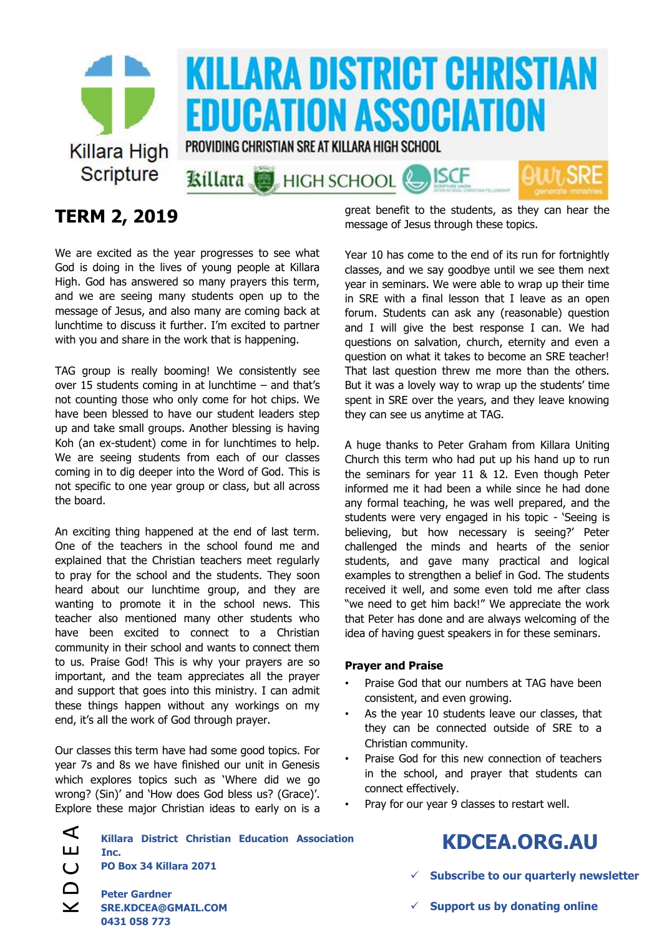

## **TERM 2, 2019**

We are excited as the year progresses to see what God is doing in the lives of young people at Killara High. God has answered so many prayers this term, and we are seeing many students open up to the message of Jesus, and also many are coming back at lunchtime to discuss it further. I'm excited to partner with you and share in the work that is happening.

TAG group is really booming! We consistently see over 15 students coming in at lunchtime – and that's not counting those who only come for hot chips. We have been blessed to have our student leaders step up and take small groups. Another blessing is having Koh (an ex-student) come in for lunchtimes to help. We are seeing students from each of our classes coming in to dig deeper into the Word of God. This is not specific to one year group or class, but all across the board.

An exciting thing happened at the end of last term. One of the teachers in the school found me and explained that the Christian teachers meet regularly to pray for the school and the students. They soon heard about our lunchtime group, and they are wanting to promote it in the school news. This teacher also mentioned many other students who have been excited to connect to a Christian community in their school and wants to connect them to us. Praise God! This is why your prayers are so important, and the team appreciates all the prayer and support that goes into this ministry. I can admit these things happen without any workings on my end, it's all the work of God through prayer.

Our classes this term have had some good topics. For year 7s and 8s we have finished our unit in Genesis which explores topics such as 'Where did we go wrong? (Sin)' and 'How does God bless us? (Grace)'. Explore these major Christian ideas to early on is a

**Killara District Christian Education Association** 

great benefit to the students, as they can hear the message of Jesus through these topics.

Year 10 has come to the end of its run for fortnightly classes, and we say goodbye until we see them next year in seminars. We were able to wrap up their time in SRE with a final lesson that I leave as an open forum. Students can ask any (reasonable) question and I will give the best response I can. We had questions on salvation, church, eternity and even a question on what it takes to become an SRE teacher! That last question threw me more than the others. But it was a lovely way to wrap up the students' time spent in SRE over the years, and they leave knowing they can see us anytime at TAG.

A huge thanks to Peter Graham from Killara Uniting Church this term who had put up his hand up to run the seminars for year 11 & 12. Even though Peter informed me it had been a while since he had done any formal teaching, he was well prepared, and the students were very engaged in his topic - 'Seeing is believing, but how necessary is seeing?' Peter challenged the minds and hearts of the senior students, and gave many practical and logical examples to strengthen a belief in God. The students received it well, and some even told me after class "we need to get him back!" We appreciate the work that Peter has done and are always welcoming of the idea of having guest speakers in for these seminars.

#### **Prayer and Praise**

- Praise God that our numbers at TAG have been consistent, and even growing.
- As the year 10 students leave our classes, that they can be connected outside of SRE to a Christian community.
- Praise God for this new connection of teachers in the school, and prayer that students can connect effectively.
- Pray for our year 9 classes to restart well.

| <b>KDCEA.ORG.AU</b> |  |
|---------------------|--|
|---------------------|--|

- **Subscribe to our quarterly newsletter**
- **Support us by donating online**

**Peter Gardner SRE.KDCEA@GMAIL.COM 0431 058 773**

**PO Box 34 Killara 2071**

**Inc.**

 $\blacktriangleleft$ ய  $\overline{C}$